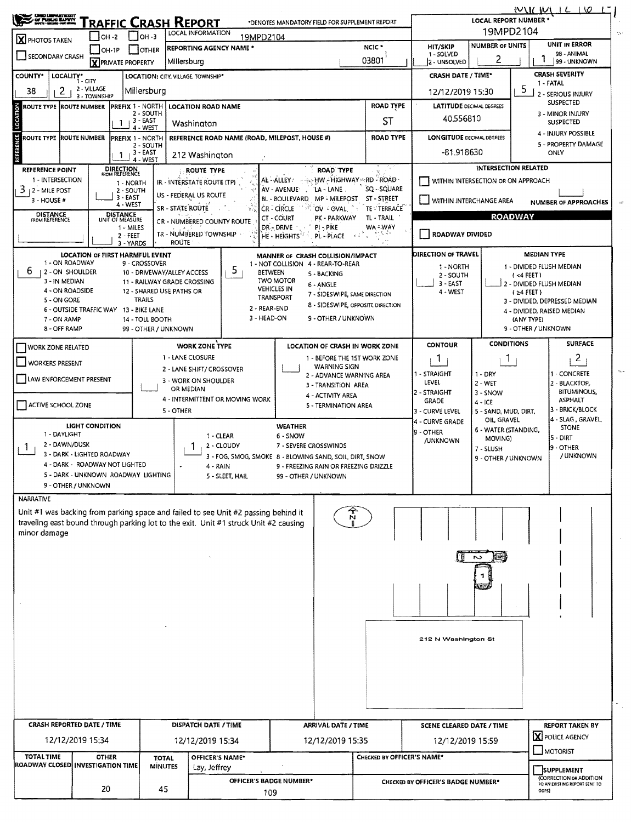|                                                                                                             | <b>CHEC DEPARTMENT</b><br>OF PUBLIC BAYEY<br>Traffic Crash Report                                  |                                                   |                                                                                                                      |                                                         |                                                                                                                                                                            |                                                                        |                                                 | WILL M<br>1610<br>LOCAL REPORT NUMBER *                |                                           |                                   |                                   |                                       |  |  |  |
|-------------------------------------------------------------------------------------------------------------|----------------------------------------------------------------------------------------------------|---------------------------------------------------|----------------------------------------------------------------------------------------------------------------------|---------------------------------------------------------|----------------------------------------------------------------------------------------------------------------------------------------------------------------------------|------------------------------------------------------------------------|-------------------------------------------------|--------------------------------------------------------|-------------------------------------------|-----------------------------------|-----------------------------------|---------------------------------------|--|--|--|
|                                                                                                             |                                                                                                    |                                                   |                                                                                                                      |                                                         |                                                                                                                                                                            | *DENOTES MANDATORY FIELD FOR SUPPLEMENT REPORT                         |                                                 |                                                        |                                           |                                   |                                   |                                       |  |  |  |
| <b>X</b> PHOTOS TAKEN                                                                                       | OH -2                                                                                              |                                                   | 19MPD2104<br>LOCAL INFORMATION<br>$ OH - 3 $<br>19MPD2104<br><b>NUMBER OF UNITS</b><br>HIT/SKIP<br>NCIC <sup>*</sup> |                                                         |                                                                                                                                                                            |                                                                        |                                                 |                                                        |                                           |                                   | UNIT IN ERROR                     |                                       |  |  |  |
| SECONDARY CRASH                                                                                             | $J$ OH-1P                                                                                          |                                                   | I IOTHER                                                                                                             |                                                         | <b>REPORTING AGENCY NAME *</b>                                                                                                                                             |                                                                        | 1 - SOLVED                                      | 2                                                      | 98 - ANIMAL<br>99 - UNKNOWN               |                                   |                                   |                                       |  |  |  |
|                                                                                                             | 03801<br>Millersburg<br>X PRIVATE PROPERTY<br>LOCALITY* CITY<br>LOCATION: CITY, VILLAGE, TOWNSHIP* |                                                   |                                                                                                                      |                                                         |                                                                                                                                                                            |                                                                        |                                                 |                                                        | 2 - UNSOLVED<br><b>CRASH DATE / TIME*</b> |                                   |                                   | <b>CRASH SEVERITY</b>                 |  |  |  |
| <b>COUNTY*</b>                                                                                              |                                                                                                    |                                                   |                                                                                                                      | 1 - FATAL                                               |                                                                                                                                                                            |                                                                        |                                                 |                                                        |                                           |                                   |                                   |                                       |  |  |  |
| $\mathbf{2}$<br>38                                                                                          | 2 - VILLAGE<br>3 - TOWNSHIP                                                                        |                                                   | Millersburg                                                                                                          |                                                         |                                                                                                                                                                            | <b>ROAD TYPE</b>                                                       | 12/12/2019 15:30                                | 2 - SERIOUS INJURY<br><b>SUSPECTED</b>                 |                                           |                                   |                                   |                                       |  |  |  |
| LOCATION<br><b>PREFIX 1 - NORTH</b><br>ROUTE TYPE  ROUTE NUMBER<br>2 - SOUTH<br>, 3 - EAST<br>1<br>4 - WEST |                                                                                                    |                                                   |                                                                                                                      |                                                         | <b>LOCATION ROAD NAME</b>                                                                                                                                                  |                                                                        | <b>LATITUDE DECIMAL DEGREES</b>                 |                                                        |                                           | 3 - MINOR INJURY                  |                                   |                                       |  |  |  |
|                                                                                                             |                                                                                                    |                                                   |                                                                                                                      | ST<br>Washington                                        |                                                                                                                                                                            |                                                                        |                                                 |                                                        |                                           | 40,556810<br><b>SUSPECTED</b>     |                                   |                                       |  |  |  |
| <b>ROUTE TYPE ROUTE NUMBER</b>                                                                              |                                                                                                    | <b>PREFIX 1 - NORTH</b>                           |                                                                                                                      |                                                         | REFERENCE ROAD NAME (ROAD, MILEPOST, HOUSE #)                                                                                                                              |                                                                        |                                                 | <b>ROAD TYPE</b>                                       | <b>LONGITUDE DECIMAL DEGREES</b>          |                                   |                                   | 4 - INJURY POSSIBLE                   |  |  |  |
| ERENCE<br>2 - SOUTH<br>, 3 - EAST<br>1                                                                      |                                                                                                    |                                                   |                                                                                                                      | 212 Washington                                          |                                                                                                                                                                            |                                                                        |                                                 |                                                        | -81.918630                                |                                   |                                   | 5 - PROPERTY DAMAGE<br>ONLY           |  |  |  |
|                                                                                                             |                                                                                                    |                                                   | 4 - WEST                                                                                                             |                                                         |                                                                                                                                                                            |                                                                        |                                                 |                                                        |                                           | INTERSECTION RELATED              |                                   |                                       |  |  |  |
| <b>REFERENCE POINT</b><br>1 - INTERSECTION                                                                  |                                                                                                    | DIRECTION<br>FROM REFERENCE<br>1 - NORTH          |                                                                                                                      | IR - INTERSTATE ROUTE (TP)                              | <b>ROUTE TYPE</b>                                                                                                                                                          | AL-ALLEY:                                                              | <b>ROAD TYPE</b>                                | <b>A SACHW - HIGHWAY ARD - ROAD</b>                    | WITHIN INTERSECTION OR ON APPROACH        |                                   |                                   |                                       |  |  |  |
| $3 + 2 -$ MILE POST                                                                                         |                                                                                                    | 2 - SOUTH                                         |                                                                                                                      | US - FEDERAL US ROUTE                                   |                                                                                                                                                                            | AV - AVENUE                                                            | 'LA - LANE                                      |                                                        |                                           |                                   |                                   |                                       |  |  |  |
| 3 - HOUSE #                                                                                                 |                                                                                                    | $3 - EAST$<br>4 - WEST                            |                                                                                                                      | SR - STATE ROUTE                                        |                                                                                                                                                                            | BL - BOULEVARD<br>CR-CIRCLE                                            | MP - MILEPOST ST - STREET<br>OV OVAL            | WITHIN INTERCHANGE AREA<br><b>NUMBER OF APPROACHES</b> |                                           |                                   |                                   |                                       |  |  |  |
| <b>DISTANCE</b><br>FROM REFERENCE                                                                           |                                                                                                    | DISTANCE<br>UNIT OF MEASURE                       |                                                                                                                      |                                                         | CR - NUMBERED COUNTY ROUTE                                                                                                                                                 | CT - COURT                                                             | PK - PARKWAY                                    | TE - TERRACE<br>TL - TRAIL                             | <b>ROADWAY</b>                            |                                   |                                   |                                       |  |  |  |
|                                                                                                             |                                                                                                    | $1 - MILES$<br>2 - FEET                           |                                                                                                                      | TR - NUMBERED TOWNSHIP                                  |                                                                                                                                                                            | DR - DRIVE<br>HE - HEIGHTS                                             | PI - PIKE<br>PL - PLACE                         | WA ÷.WAY<br>i, 64                                      | ROADWAY DIVIDED                           |                                   |                                   |                                       |  |  |  |
|                                                                                                             |                                                                                                    | 3 - YARDS                                         |                                                                                                                      | <b>ROUTE</b>                                            |                                                                                                                                                                            |                                                                        |                                                 |                                                        |                                           |                                   |                                   |                                       |  |  |  |
| 1 - ON ROADWAY                                                                                              | <b>LOCATION OF FIRST HARMFUL EVENT</b>                                                             |                                                   | 9 - CROSSOVER                                                                                                        |                                                         |                                                                                                                                                                            | MANNER OF CRASH COLLISION/IMPACT<br>1 - NOT COLLISION 4 - REAR-TO-REAR |                                                 |                                                        | DIRECTION OF TRAVEL                       |                                   |                                   | <b>MEDIAN TYPE</b>                    |  |  |  |
| 6<br>2 - ON SHOULDER                                                                                        |                                                                                                    |                                                   |                                                                                                                      | 10 - DRIVEWAY/ALLEY ACCESS                              | 5.                                                                                                                                                                         | <b>BETWEEN</b>                                                         | 5 - BACKING                                     |                                                        | 1 - NORTH<br>2 - SOUTH                    |                                   | $1 < 4$ FEET)                     | 1 - DIVIDED FLUSH MEDIAN              |  |  |  |
| 3 - IN MEDIAN<br>4 - ON ROADSIDE                                                                            |                                                                                                    |                                                   |                                                                                                                      | 11 - RAILWAY GRADE CROSSING<br>12 - SHARED USE PATHS OR |                                                                                                                                                                            | <b>TWO MOTOR</b><br><b>VEHICLES IN</b>                                 | 6 - ANGLE                                       |                                                        | $3 - EAST$                                |                                   |                                   | 2 - DIVIDED FLUSH MEDIAN              |  |  |  |
| 5 - ON GORE                                                                                                 |                                                                                                    |                                                   | <b>TRAILS</b>                                                                                                        |                                                         |                                                                                                                                                                            | <b>TRANSPORT</b>                                                       | 7 - SIDESWIPE, SAME DIRECTION                   | 8 - SIDESWIPE, OPPOSITE DIRECTION                      | 4 - WEST                                  |                                   | $(24$ FEET)                       | 3 - DIVIDED, DEPRESSED MEDIAN         |  |  |  |
|                                                                                                             | 6 - OUTSIDE TRAFFIC WAY 13 - BIKE LANE                                                             |                                                   |                                                                                                                      |                                                         |                                                                                                                                                                            | 2 - REAR-END<br>3 - HEAD-ON                                            | 9 - OTHER / UNKNOWN                             |                                                        |                                           |                                   |                                   | 4 - DIVIDED, RAISED MEDIAN            |  |  |  |
| 7 - ON RAMP<br>8 - OFF RAMP                                                                                 |                                                                                                    |                                                   | 14 - TOLL BOOTH<br>99 - OTHER / UNKNOWN                                                                              |                                                         |                                                                                                                                                                            |                                                                        |                                                 |                                                        |                                           |                                   | (ANY TYPE)<br>9 - OTHER / UNKNOWN |                                       |  |  |  |
|                                                                                                             |                                                                                                    |                                                   |                                                                                                                      | <b>WORK ZONE TYPE</b>                                   |                                                                                                                                                                            |                                                                        |                                                 | LOCATION OF CRASH IN WORK ZONE                         | <b>CONTOUR</b>                            | <b>CONDITIONS</b>                 |                                   | <b>SURFACE</b>                        |  |  |  |
| <b>WORK ZONE RELATED</b>                                                                                    |                                                                                                    |                                                   |                                                                                                                      | 1 - LANE CLOSURE                                        |                                                                                                                                                                            |                                                                        |                                                 | 1 - BEFORE THE 1ST WORK ZONE                           | $\mathbf{1}$                              | T                                 |                                   | $\mathbf{2}$                          |  |  |  |
| WORKERS PRESENT                                                                                             |                                                                                                    |                                                   |                                                                                                                      |                                                         | 2 - LANE SHIFT/ CROSSOVER                                                                                                                                                  |                                                                        | <b>WARNING SIGN</b>                             |                                                        | 1 - STRAIGHT                              |                                   |                                   | 1 - CONCRETE                          |  |  |  |
| LAW ENFORCEMENT PRESENT                                                                                     |                                                                                                    |                                                   |                                                                                                                      | 3 - WORK ON SHOULDER                                    |                                                                                                                                                                            |                                                                        | 2 - ADVANCE WARNING AREA<br>3 - TRANSITION AREA |                                                        | LEVEL                                     | $1 - DRY$<br>$2 - WET$            |                                   | 2 - BLACKTOP,                         |  |  |  |
|                                                                                                             |                                                                                                    |                                                   |                                                                                                                      | OR MEDIAN                                               | 4 - INTERMITTENT OR MOVING WORK                                                                                                                                            |                                                                        | 4 - ACTIVITY AREA                               |                                                        | 2 - STRAIGHT                              | 3 - SNOW                          |                                   | <b>BITUMINOUS,</b><br><b>ASPHALT</b>  |  |  |  |
| ACTIVE SCHOOL ZONE                                                                                          |                                                                                                    |                                                   |                                                                                                                      | 5 - OTHER                                               |                                                                                                                                                                            |                                                                        | 5 - TERMINATION AREA                            |                                                        | <b>GRADE</b><br>3 - CURVE LEVEL           | $4 - ICE$<br>5 - SAND, MUD, DIRT, |                                   | - BRICK/BLOCK                         |  |  |  |
|                                                                                                             | LIGHT CONDITION                                                                                    |                                                   |                                                                                                                      |                                                         |                                                                                                                                                                            | <b>WEATHER</b>                                                         |                                                 |                                                        | 4 - CURVE GRADE                           | OIL GRAVEL                        |                                   | 4 - SLAG, GRAVEL,<br><b>STONE</b>     |  |  |  |
| 1 - DAYLIGHT                                                                                                |                                                                                                    |                                                   |                                                                                                                      |                                                         | 1 - CLEAR                                                                                                                                                                  | 6 - SNOW                                                               |                                                 |                                                        | 9 - OTHER<br><b>JUNKNOWN</b>              | 6 - WATER (STANDING,<br>MOVING)   |                                   | 5 - DIRT                              |  |  |  |
| 2 - DAWN/DUSK<br>Т.                                                                                         | 3 - DARK - LIGHTED ROADWAY                                                                         |                                                   |                                                                                                                      |                                                         | 2 - CLOUDY                                                                                                                                                                 | 7 - SEVERE CROSSWINDS                                                  |                                                 |                                                        |                                           | 7 - SLUSH                         |                                   | <b>9 - OTHER</b>                      |  |  |  |
|                                                                                                             | 4 - DARK - ROADWAY NOT LIGHTED                                                                     |                                                   |                                                                                                                      |                                                         | 3 - FOG, SMOG, SMOKE 8 - BLOWING SAND, SOIL DIRT, SNOW<br>4 - RAIN                                                                                                         |                                                                        |                                                 | 9 - FREEZING RAIN OR FREEZING DRIZZLE                  |                                           | 9 - OTHER / UNKNOWN               |                                   | / UNKNOWN                             |  |  |  |
|                                                                                                             | 5 - DARK - UNKNOWN ROADWAY LIGHTING                                                                |                                                   |                                                                                                                      |                                                         | 5 - SLEET, HAIL                                                                                                                                                            | 99 - OTHER / UNKNOWN                                                   |                                                 |                                                        |                                           |                                   |                                   |                                       |  |  |  |
|                                                                                                             | 9 - OTHER / UNKNOWN                                                                                |                                                   |                                                                                                                      |                                                         |                                                                                                                                                                            |                                                                        |                                                 |                                                        |                                           |                                   |                                   |                                       |  |  |  |
| NARRATIVE                                                                                                   |                                                                                                    |                                                   |                                                                                                                      |                                                         |                                                                                                                                                                            |                                                                        |                                                 |                                                        |                                           |                                   |                                   |                                       |  |  |  |
|                                                                                                             |                                                                                                    |                                                   |                                                                                                                      |                                                         | Unit #1 was backing from parking space and failed to see Unit #2 passing behind it<br>traveling east bound through parking lot to the exit. Unit #1 struck Unit #2 causing |                                                                        | $\sum_{i=1}^{n}$                                |                                                        |                                           |                                   |                                   |                                       |  |  |  |
| minor damage                                                                                                |                                                                                                    |                                                   |                                                                                                                      |                                                         |                                                                                                                                                                            |                                                                        |                                                 |                                                        |                                           |                                   |                                   |                                       |  |  |  |
|                                                                                                             |                                                                                                    |                                                   |                                                                                                                      |                                                         |                                                                                                                                                                            |                                                                        |                                                 |                                                        |                                           |                                   |                                   |                                       |  |  |  |
|                                                                                                             |                                                                                                    |                                                   |                                                                                                                      |                                                         |                                                                                                                                                                            |                                                                        |                                                 |                                                        |                                           | $\tilde{ }$                       |                                   |                                       |  |  |  |
|                                                                                                             |                                                                                                    |                                                   |                                                                                                                      |                                                         |                                                                                                                                                                            |                                                                        |                                                 |                                                        |                                           |                                   |                                   |                                       |  |  |  |
|                                                                                                             |                                                                                                    |                                                   |                                                                                                                      |                                                         |                                                                                                                                                                            |                                                                        |                                                 |                                                        |                                           |                                   |                                   |                                       |  |  |  |
|                                                                                                             |                                                                                                    |                                                   |                                                                                                                      |                                                         |                                                                                                                                                                            |                                                                        |                                                 |                                                        |                                           |                                   |                                   |                                       |  |  |  |
|                                                                                                             |                                                                                                    |                                                   |                                                                                                                      |                                                         |                                                                                                                                                                            |                                                                        |                                                 |                                                        |                                           |                                   |                                   |                                       |  |  |  |
|                                                                                                             |                                                                                                    |                                                   |                                                                                                                      |                                                         |                                                                                                                                                                            |                                                                        |                                                 |                                                        |                                           |                                   |                                   |                                       |  |  |  |
|                                                                                                             |                                                                                                    |                                                   |                                                                                                                      |                                                         |                                                                                                                                                                            |                                                                        |                                                 |                                                        | 212 N Washington St                       |                                   |                                   |                                       |  |  |  |
|                                                                                                             |                                                                                                    |                                                   |                                                                                                                      |                                                         |                                                                                                                                                                            |                                                                        |                                                 |                                                        |                                           |                                   |                                   |                                       |  |  |  |
|                                                                                                             |                                                                                                    |                                                   |                                                                                                                      |                                                         |                                                                                                                                                                            |                                                                        |                                                 |                                                        |                                           |                                   |                                   |                                       |  |  |  |
|                                                                                                             |                                                                                                    |                                                   |                                                                                                                      |                                                         |                                                                                                                                                                            |                                                                        |                                                 |                                                        |                                           |                                   |                                   |                                       |  |  |  |
|                                                                                                             |                                                                                                    |                                                   |                                                                                                                      |                                                         |                                                                                                                                                                            |                                                                        |                                                 |                                                        |                                           |                                   |                                   |                                       |  |  |  |
|                                                                                                             |                                                                                                    |                                                   |                                                                                                                      |                                                         |                                                                                                                                                                            |                                                                        |                                                 |                                                        |                                           |                                   |                                   |                                       |  |  |  |
| CRASH REPORTED DATE / TIME                                                                                  |                                                                                                    |                                                   |                                                                                                                      |                                                         | DISPATCH DATE / TIME                                                                                                                                                       |                                                                        |                                                 |                                                        | <b>SCENE CLEARED DATE / TIME</b>          |                                   |                                   | <b>REPORT TAKEN BY</b>                |  |  |  |
| 12/12/2019 15:34                                                                                            |                                                                                                    |                                                   |                                                                                                                      |                                                         |                                                                                                                                                                            |                                                                        | <b>ARRIVAL DATE / TIME</b><br>12/12/2019 15:35  |                                                        |                                           |                                   |                                   | X POLICE AGENCY                       |  |  |  |
|                                                                                                             |                                                                                                    |                                                   |                                                                                                                      |                                                         | 12/12/2019 15:34                                                                                                                                                           |                                                                        |                                                 |                                                        | 12/12/2019 15:59                          |                                   |                                   | $\Box$ MOTORIST                       |  |  |  |
| <b>TOTAL TIME</b><br>ROADWAY CLOSED INVESTIGATION TIME                                                      | <b>OTHER</b>                                                                                       | OFFICER'S NAME*<br><b>TOTAL</b><br><b>MINUTES</b> |                                                                                                                      |                                                         |                                                                                                                                                                            | CHECKED BY OFFICER'S NAME*                                             |                                                 |                                                        |                                           |                                   |                                   |                                       |  |  |  |
|                                                                                                             |                                                                                                    |                                                   | Lay, Jeffrey<br>OFFICER'S BADGE NUMBER*                                                                              |                                                         |                                                                                                                                                                            |                                                                        |                                                 |                                                        |                                           |                                   |                                   | SUPPLEMENT<br>(CORRECTION OR ADDITION |  |  |  |
|                                                                                                             | 20                                                                                                 |                                                   | 45                                                                                                                   |                                                         |                                                                                                                                                                            | 109                                                                    |                                                 |                                                        | CHECKED BY OFFICER'S BADGE NUMBER*        |                                   | ODPS)                             | TO AN EXISTING REPORT SENT TO         |  |  |  |
|                                                                                                             |                                                                                                    |                                                   |                                                                                                                      |                                                         |                                                                                                                                                                            |                                                                        |                                                 |                                                        |                                           |                                   |                                   |                                       |  |  |  |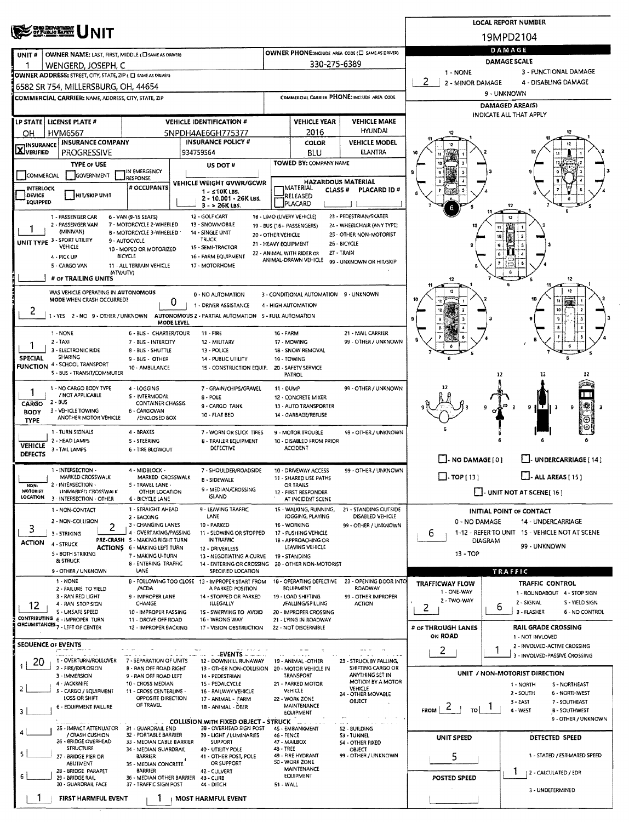|                                                                                                                                                             |                                             |                                                   |                                                       |                                                    | <b>LOCAL REPORT NUMBER</b>                                         |  |  |  |  |  |
|-------------------------------------------------------------------------------------------------------------------------------------------------------------|---------------------------------------------|---------------------------------------------------|-------------------------------------------------------|----------------------------------------------------|--------------------------------------------------------------------|--|--|--|--|--|
| <b>CHIO DEPARTMENT</b><br>OF FUNLIO BAFETT<br>NIT                                                                                                           |                                             |                                                   |                                                       | 19MPD2104                                          |                                                                    |  |  |  |  |  |
| OWNER NAME: LAST, FIRST, MIDDLE (C) SAME AS DRIVERY<br>UNIT#                                                                                                |                                             |                                                   | OWNER PHONE:INCLUDE AREA CODE (E SAME AS DRIVER)      | DAMAGE                                             |                                                                    |  |  |  |  |  |
| WENGERD, JOSEPH, C                                                                                                                                          |                                             | 330-275-6389                                      |                                                       | DAMAGE SCALE                                       |                                                                    |  |  |  |  |  |
| OWNER ADDRESS: STREET, CITY, STATE, ZIP ( C) SAME AS ORIVERY                                                                                                |                                             |                                                   |                                                       | 3 - FUNCTIONAL DAMAGE<br>1 - NONE                  |                                                                    |  |  |  |  |  |
| 6582 SR 754, MILLERSBURG, OH, 44654                                                                                                                         |                                             |                                                   |                                                       | 2<br>2 - MINOR DAMAGE                              | 4 - DISABLING DAMAGE                                               |  |  |  |  |  |
| COMMERCIAL CARRIER: NAME, ADDRESS, CITY, STATE, ZIP                                                                                                         | COMMERCIAL CARRIER PHONE: INCLUDE AREA CODE |                                                   |                                                       | 9 - UNKNOWN<br>DAMAGED AREA(S)                     |                                                                    |  |  |  |  |  |
|                                                                                                                                                             |                                             |                                                   |                                                       | INDICATE ALL THAT APPLY                            |                                                                    |  |  |  |  |  |
| LP STATE LICENSE PLATE #<br><b>VEHICLE IDENTIFICATION #</b>                                                                                                 |                                             | <b>VEHICLE YEAR</b>                               | <b>VEHICLE MAKE</b><br><b>HYUNDAI</b>                 |                                                    |                                                                    |  |  |  |  |  |
| <b>HVM6567</b><br>5NPDH4AE6GH775377<br>он<br><b>INSURANCE COMPANY</b><br><b>INSURANCE POLICY #</b>                                                          |                                             | 2016<br>COLOR                                     | <b>VEHICLE MODEL</b>                                  | 12<br>12                                           |                                                                    |  |  |  |  |  |
| INSURANCE<br><b>X</b> VERIFIED<br>PROGRESSIVE<br>934759564                                                                                                  |                                             | BLU                                               | <b>ELANTRA</b>                                        |                                                    |                                                                    |  |  |  |  |  |
| <b>TYPE OF USE</b><br>US DOT#                                                                                                                               |                                             | TOWED BY: COMPANY NAME                            |                                                       |                                                    |                                                                    |  |  |  |  |  |
| IN EMERGENCY<br>COMMERCIAL<br>GOVERNMENT<br>RESPONSE<br>VEHICLE WEIGHT GVWR/GCWR                                                                            |                                             | <b>HAZARDOUS MATERIAL</b>                         |                                                       |                                                    |                                                                    |  |  |  |  |  |
| # OCCUPANTS<br><b>INTERLOCK</b><br>$1 - 10K$ LBS.<br><b>DEVICE</b><br>HIT/SKIP UNIT                                                                         |                                             | MATERIAL<br>CLASS <sup>#</sup><br>RELEASED        | PLACARD ID#                                           |                                                    |                                                                    |  |  |  |  |  |
| 2 - 10.001 - 26K LBS.<br>EQUIPPED<br>$3 - 26K$ LBS.                                                                                                         |                                             | PLACARD                                           |                                                       | 6                                                  |                                                                    |  |  |  |  |  |
| 12 - GOLF CART<br>1 - PASSENGER CAR<br>6 - VAN (9-15 SEATS)                                                                                                 |                                             | 18 - LIMO (LIVERY VEHICLE)                        | 23 - PEDESTRIAN/SKATER                                |                                                    |                                                                    |  |  |  |  |  |
| 2 - PASSENGER VAN<br>7 - MOTORCYCLE 2-WHEELED<br>13 - SNOWMOBILE<br>(MINIVAN)<br>B - MOTORCYCLE 3-WHEELED<br>14 - SINGLE UNIT                               | 20 - OTHER VEHICLE                          | 19 - BUS (16+ PASSENGERS)                         | 24 - WHEELCHAIR (ANY TYPE)<br>25 - OTHER NON-MOTORIST |                                                    | 98                                                                 |  |  |  |  |  |
| UNIT TYPE 3 - SPORT UTILITY<br><b>TRUCK</b><br>9 - AUTOCYCLE<br><b>VEHICLE</b><br>15 - SEMI-TRACTOR                                                         | 21 - HEAVY EQUIPMENT                        |                                                   | 26 - BICYCLE                                          |                                                    | 10<br>9                                                            |  |  |  |  |  |
| 10 - MOPED OR MOTORIZED<br><b>BICYCLE</b><br>16 - FARM EQUIPMENT<br>4 - PICK UP                                                                             |                                             | 22 - ANIMAL WITH RIDER OR<br>ANIMAL-DRAWN VEHICLE | 27 - TRAIN<br>99 - UNKNOWN OR HIT/SKIP                |                                                    |                                                                    |  |  |  |  |  |
| 5 - CARGO VAN<br>11 - ALL TERRAIN VEHICLE<br>17 - MOTORHOME<br>(ATV/UTV)                                                                                    |                                             |                                                   |                                                       |                                                    |                                                                    |  |  |  |  |  |
| # OF TRAILING UNITS                                                                                                                                         |                                             |                                                   |                                                       | 12                                                 | 12                                                                 |  |  |  |  |  |
| WAS VEHICLE OPERATING IN AUTONOMOUS<br>0 - NO AUTOMATION<br>MODE WHEN CRASH OCCURRED?                                                                       |                                             | 3 - CONDITIONAL AUTOMATION 9 - UNKNOWN            |                                                       |                                                    |                                                                    |  |  |  |  |  |
| 0<br>1 - DRIVER ASSISTANCE                                                                                                                                  |                                             | 4 - HIGH AUTOMATION                               |                                                       |                                                    | 10                                                                 |  |  |  |  |  |
| 1 - YES 2 - NO 9 - OTHER / UNKNOWN AUTONOMOUS 2 - PARTIAL AUTOMATION 5 - FULL AUTOMATION<br>MODE LEVEL                                                      |                                             |                                                   |                                                       |                                                    |                                                                    |  |  |  |  |  |
| 1 - NONE<br>6 - BUS - CHARTER/TOUR<br>11 - FIRE                                                                                                             | 16 - FARM                                   |                                                   | 21 - MAIL CARRIER                                     |                                                    |                                                                    |  |  |  |  |  |
| 2 - TAXI<br>7 - BUS - INTERCITY<br>12 - MILITARY<br>3 - ELECTRONIC RIDE<br>8 - BUS - SHUTTLE<br>13 - POLICE                                                 |                                             | 17 - MOWING<br>18 - SNOW REMOVAL                  | 99 - OTHER / UNKNOWN                                  |                                                    |                                                                    |  |  |  |  |  |
| <b>SHARING</b><br><b>SPECIAL</b><br>9 - BUS - OTHER<br>14 - PUBLIC UTILITY<br><b>FUNCTION 4 - SCHOOL TRANSPORT</b>                                          |                                             | 19 - TOWING                                       |                                                       |                                                    |                                                                    |  |  |  |  |  |
| 10 - AMBULANCE<br>15 - CONSTRUCTION EQUIP.<br>S - BUS - TRANSIT/COMMUTER                                                                                    |                                             | 20 - SAFETY SERVICE<br><b>PATROL</b>              |                                                       |                                                    | 12                                                                 |  |  |  |  |  |
| 1 - NO CARGO BODY TYPE<br>4 - LOGGING<br>7 - GRAIN/CHIPS/GRAVEL                                                                                             | 11 - DUMP                                   |                                                   | 99 - OTHER / UNKNOWN                                  |                                                    |                                                                    |  |  |  |  |  |
| 1<br>/ NOT APPLICABLE<br>S - INTERMODAL<br>8 - POLE<br>2 - BUS<br>CARGO<br><b>CONTAINER CHASSIS</b>                                                         |                                             | 12 - CONCRETE MIXER                               |                                                       |                                                    |                                                                    |  |  |  |  |  |
| 9 - CARGO TANK<br>3 - VEHICLE TOWING<br>6 - CARGOVAN<br><b>BODY</b><br>10 - FLAT BED                                                                        |                                             | 13 - AUTO TRANSPORTER<br>14 - GARBAGE/REFUSE      |                                                       |                                                    | 18<br>9<br>9<br>-3                                                 |  |  |  |  |  |
| ANOTHER MOTOR VEHICLE<br>/ENCLOSED BOX<br><b>TYPE</b>                                                                                                       |                                             |                                                   |                                                       |                                                    | Θ                                                                  |  |  |  |  |  |
| 1 - TURN SIGNALS<br>4 - BRAKES<br>7 - WORN OR SLICK TIRES<br>2 - HEAD LAMPS<br>S - STEERING<br>8 - TRAILER EQUIPMENT                                        |                                             | 9 - MOTOR TROUBLE<br>10 - DISABLED FROM PRIOR     | 99 - OTHER / UNKNOWN                                  |                                                    |                                                                    |  |  |  |  |  |
| <b>VEHICLE</b><br>DEFECTIVE<br>3 - TAIL LAMPS<br>6 - TIRE BLOWOUT<br><b>DEFECTS</b>                                                                         |                                             | <b>ACCIDENT</b>                                   |                                                       |                                                    |                                                                    |  |  |  |  |  |
| 1 - INTERSECTION -<br>4 - MIDBLOCK -                                                                                                                        |                                             |                                                   | 99 - OTHER / UNKNOWN                                  | $\Box$ - NO DAMAGE [ 0 ]                           | ΙL<br>UNDERCARRIAGE [ 14 ]                                         |  |  |  |  |  |
| 7 - SHOULDER/ROADSIDE<br>MARKED CROSSWALK<br>MARKED CROSSWALK<br><b>8 - SIDEWALK</b>                                                                        |                                             | 10 - DRIVEWAY ACCESS<br>11 - SHARED USE PATHS     |                                                       | $\Box$ -TOP [13]                                   | $\Box$ - ALL AREAS [ 15 ]                                          |  |  |  |  |  |
| 2 - INTERSECTION -<br>5 - TRAVEL LANE -<br>NON-<br>9 - MEDIAN / CROSSING<br><b>MOTORIST</b><br><b>UNMARKED CROSSWALK</b><br>OTHER LOCATION                  | OR TRAILS<br>12 - FIRST RESPONDER           |                                                   |                                                       | $\Box$ - UNIT NOT AT SCENE[16]                     |                                                                    |  |  |  |  |  |
| <b>ISLAND</b><br>LOCATION<br>3 - INTERSECTION - OTHER<br>6 - BICYCLE LANE                                                                                   |                                             | AT INCIDENT SCENE                                 |                                                       |                                                    |                                                                    |  |  |  |  |  |
| 1 - STRAIGHT AHEAD<br>9 - LEAVING TRAFFIC<br>1 - NON-CONTACT<br>LANE<br>2 - BACKING<br>2 - NON-COLLISION                                                    |                                             | 15 - WALKING, RUNNING,<br>JOGGING, PLAYING        | 21 - STANDING OUTSIDE<br>DISABLED VEHICLE             | 0 - NO DAMAGE                                      | <b>INITIAL POINT OF CONTACT</b><br>14 - UNDERCARRIAGE              |  |  |  |  |  |
| 3 - CHANGING LANES<br>10 - PARKED<br>2<br>3<br>4 - OVERTAKING/PASSING<br>11 - SLOWING OR STOPPED<br>3 - STRIKING                                            |                                             | 16 - WORKING<br>17 - PUSHING VEHICLE              | 99 - OTHER / UNKNOWN                                  | 6                                                  | 1-12 - REFER TO UNIT 15 - VEHICLE NOT AT SCENE                     |  |  |  |  |  |
| PRE-CRASH S - MAKING RIGHT TURN<br>IN TRAFFIC<br><b>ACTION</b><br>4 - STRUCK<br><b>ACTIONS 6 - MAKING LEFT TURN</b>                                         |                                             | 18 - APPROACHING OR<br>LEAVING VEHICLE            |                                                       | DIAGRAM                                            | 99 - UNKNOWN                                                       |  |  |  |  |  |
| 12 - DRIVERLESS<br>5 - BOTH STRIXING<br>7 - MAKING U-TURN<br>13 - NEGOTIATING A CURVE<br>& STRUCK                                                           |                                             | 19 - STANDING                                     |                                                       | 13 - TOP                                           |                                                                    |  |  |  |  |  |
| 8 - ENTERING TRAFFIC<br>14 - ENTERING OR CROSSING 20 - OTHER NON-MOTORIST<br>LANE<br>9 - OTHER / UNKNOWN<br>SPECIFIED LOCATION                              |                                             |                                                   |                                                       |                                                    | TRAFFIC                                                            |  |  |  |  |  |
| 1 - NONE<br>B - FOLLOWING TOO CLOSE 13 - IMPROPER START FROM                                                                                                |                                             | 18 - OPERATING DEFECTIVE                          | 23 - OPENING DOOR INTO                                | <b>TRAFFICWAY FLOW</b>                             | <b>TRAFFIC CONTROL</b>                                             |  |  |  |  |  |
| /ACDA<br>A PARKED POSITION<br>2 - FAILURE TO YIELD<br>3 - RAN RED LIGHT<br>9 - IMPROPER LANE<br>14 - STOPPED OR PARKED                                      |                                             | EQUIPMENT<br>19 - LOAD SHIFTING                   | <b>ROADWAY</b><br>99 - OTHER IMPROPER                 | 1 - ONE-WAY<br>2 - TWO-WAY                         | 1 - ROUNDABOUT 4 - STOP SIGN                                       |  |  |  |  |  |
| CHANGE<br>ILLEGALLY<br>4 - RAN STOP SIGN<br>12<br>S - UNSAFE SPEED<br>10 - IMPROPER PASSING<br>15 - SWERVING TO AVOID                                       |                                             | /FALLING/SPILLING<br>20 - IMPROPER CROSSING       | <b>ACTION</b>                                         | 2                                                  | 2 - SIGNAL<br>S - YIELD SIGN<br>6<br>3 - FLASHER<br>6 - NO CONTROL |  |  |  |  |  |
| CONTRIBUTING 6 - IMPROPER TURN<br>11 - DROVE OFF ROAD<br>16 - WRONG WAY<br>CIRCUMSTANCES 7 - LEFT OF CENTER                                                 |                                             | 21 - LYING IN ROADWAY                             |                                                       |                                                    |                                                                    |  |  |  |  |  |
| 12 - IMPROPER BACKING<br>17 - VISION OBSTRUCTION                                                                                                            |                                             | 22 - NOT DISCERNIBLE                              |                                                       | # OF THROUGH LANES<br>ON ROAD                      | RAIL GRADE CROSSING<br>1 - NOT INVLOVED                            |  |  |  |  |  |
| SEOUENCE OF EVENTS                                                                                                                                          |                                             |                                                   |                                                       | 2                                                  | 2 - INVOLVED-ACTIVE CROSSING<br>1                                  |  |  |  |  |  |
| . . EVENTS<br><b>State of the State</b><br>1 - OVERTURN/ROLLOVER<br>20<br>7 - SEPARATION OF UNITS<br>12 - DOWNHILL RUNAWAY                                  |                                             | 19 - ANIMAL -OTHER                                | 23 - STRUCK BY FALLING,                               |                                                    | 3 - INVOLVED-PASSIVE CROSSING                                      |  |  |  |  |  |
| 2 - FIRE/EXPLOSION<br>8 - RAN OFF ROAD RIGHT<br>13 - OTHER NON-COLLISION 20 - MOTOR VEHICLE IN<br>3 - IMMERSION<br>9 - RAN OFF ROAD LEFT<br>14 - PEDESTRIAN |                                             | <b>TRANSPORT</b>                                  | SHIFTING CARGO OR<br>ANYTHING SET IN                  |                                                    | UNIT / NON-MOTORIST DIRECTION                                      |  |  |  |  |  |
| 4 - JACKKNIFE<br>10 - CROSS MEDIAN<br>15 - PEDALCYCLE<br>2                                                                                                  |                                             | 21 - PARKED MOTOR                                 | MOTION BY A MOTOR<br>VEHICLE                          |                                                    | S - NORTHEAST<br>1 - NORTH                                         |  |  |  |  |  |
| 5 - CARGO / EQUIPMENT<br>11 - CROSS CENTERLINE -<br>16 - RAILWAY VEHICLE<br>LOSS OR SHIFT<br>OPPOSITE DIRECTION<br>17 - ANIMAL - FARM                       |                                             | VEHICLE<br>22 - WORK ZONE                         | 24 - OTHER MOVABLE<br>OBJECT                          |                                                    | 2 - SOUTH<br>6 - NORTHWEST<br>3 - EAST<br>7 - SOUTHEAST            |  |  |  |  |  |
| OF TRAVEL<br>1B - ANIMAL - DEER<br><b>6 - EQUIPMENT FAILURE</b><br>3                                                                                        |                                             | <b>MAINTENANCE</b><br><b>EQUIPMENT</b>            |                                                       | FROM $\vert$ 2  <br>τoΙ                            | 4 - WEST<br>8 - SOUTHWEST                                          |  |  |  |  |  |
| <b>COLLISION WITH FIXED OBJECT - STRUCK</b><br>25 - IMPACT ATTENUATOR 31 - GUARDRAIL END<br>38 OVERHEAD SIGN POST                                           |                                             | 4S - EMBANKMENT                                   | 52 - BUILDING                                         |                                                    | 9 - OTHER / UNKNOWN                                                |  |  |  |  |  |
| / CRASH CUSHION<br>32 - PORTABLE BARRIER<br>39 LIGHT / LUMINARIES<br>26 - BRIDGE OVERHEAD<br>33 - MEDIAN CABLE BARRIER<br><b>SUPPORT</b>                    | 46 - FENCE                                  | 47 - MAILBOX                                      | 53 - TUNNEL                                           | UNIT SPEED                                         | DETECTED SPEED                                                     |  |  |  |  |  |
| <b>STRUCTURE</b><br>34 - MEDIAN GUARDRAIL<br>40 - UTILITY POLE<br>5.                                                                                        | 48 - TREE                                   |                                                   | 54 - OTHER FIXED<br>OBJECT                            |                                                    |                                                                    |  |  |  |  |  |
| 27 - BRIDGE PIER OR<br><b>BARRIER</b><br>41 - OTHER POST, POLE<br>ABLITMENT<br>OR SUPPORT<br>35 - MEDIAN CONCRETE                                           |                                             | 49 - FIRE HYDRANT<br>50 - WORK ZONE               | 99 - OTHER / UNKNOWN                                  | 5                                                  | 1 - STATED / ESTIMATED SPEED                                       |  |  |  |  |  |
| 2B - BRIDGE PARAPET<br><b>BARRIER</b><br>42 - CULVERT<br>6<br>29 - BRIDGE RAIL<br>36 - MEDIAN OTHER BARRIER<br>43 - CURB                                    |                                             | MAINTENANCE<br><b>EQUIPMENT</b>                   |                                                       | Ŧ<br>  2 - CALCULATED / EDR<br><b>POSTED SPEED</b> |                                                                    |  |  |  |  |  |
| 30 - GUARDRAIL FACE<br>37 - TRAFFIC SIGN POST<br>44 - DITCH                                                                                                 | 51 - WALL                                   |                                                   |                                                       |                                                    | 3 - UNDETERMINED                                                   |  |  |  |  |  |
| FIRST HARMFUL EVENT<br><b>MOST HARMFUL EVENT</b>                                                                                                            |                                             |                                                   |                                                       |                                                    |                                                                    |  |  |  |  |  |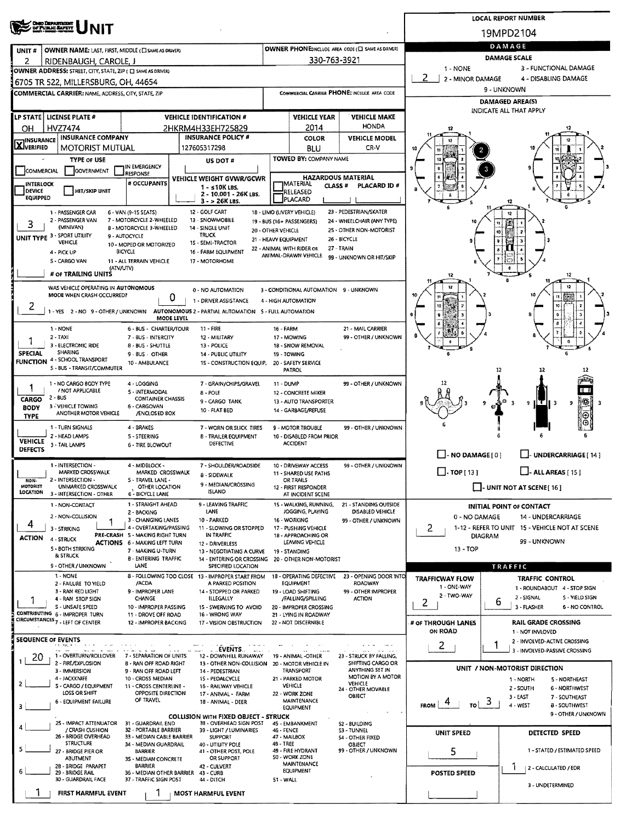|                                                                                                               | <b>LOCAL REPORT NUMBER</b>                                             |                                            |                                                 |                                                   |                                                                       |                                                                          |  |  |  |  |  |
|---------------------------------------------------------------------------------------------------------------|------------------------------------------------------------------------|--------------------------------------------|-------------------------------------------------|---------------------------------------------------|-----------------------------------------------------------------------|--------------------------------------------------------------------------|--|--|--|--|--|
| <b>ONO DEPARTMENT</b><br>OF PUBLIC BAFETY                                                                     |                                                                        |                                            |                                                 |                                                   |                                                                       | 19MPD2104                                                                |  |  |  |  |  |
| <b>OWNER NAME: LAST, FIRST, MIDDLE (ELSAME AS DRIVER)</b><br>UNIT#                                            |                                                                        |                                            |                                                 | OWNER PHONE:INCLUDE AREA CODE (E) SAME AS DRIVER) | DAMAGE                                                                |                                                                          |  |  |  |  |  |
| 2<br>RIDENBAUGH, CAROLE, J                                                                                    |                                                                        |                                            | 330-763-3921                                    |                                                   | <b>DAMAGE SCALE</b>                                                   |                                                                          |  |  |  |  |  |
| OWNER ADDRESS: STREET, CITY, STATE, ZIP ( C SAME AS DRIVER)                                                   |                                                                        |                                            |                                                 |                                                   | 1 - NONE                                                              | 3 - FUNCTIONAL DAMAGE                                                    |  |  |  |  |  |
| 6705 TR 522, MILLERSBURG, OH, 44654                                                                           |                                                                        |                                            |                                                 |                                                   | 2 - MINOR DAMAGE<br>4 - DISABLING DAMAGE<br>9 - UNKNOWN               |                                                                          |  |  |  |  |  |
| <b>COMMERCIAL CARRIER: NAME, ADDRESS, CITY, STATE, ZIP</b>                                                    |                                                                        |                                            |                                                 | COMMERCIAL CARRIER PHONE: INCLUDE AREA CODE       |                                                                       | DAMAGED AREA(S)                                                          |  |  |  |  |  |
| LP STATE   LICENSE PLATE #                                                                                    | <b>VEHICLE IDENTIFICATION #</b>                                        |                                            | <b>VEHICLE YEAR</b>                             | <b>VEHICLE MAKE</b>                               |                                                                       | INDICATE ALL THAT APPLY                                                  |  |  |  |  |  |
| HVZ7474<br>OН                                                                                                 | 2HKRM4H33EH725829                                                      |                                            | 2014                                            | <b>HONDA</b>                                      |                                                                       |                                                                          |  |  |  |  |  |
| <b>INSURANCE COMPANY</b><br><b>X</b> INSURANCE                                                                | <b>INSURANCE POLICY #</b>                                              |                                            | <b>COLOR</b>                                    | <b>VEHICLE MODEL</b>                              |                                                                       |                                                                          |  |  |  |  |  |
| <b>MOTORIST MUTUAL</b>                                                                                        | 127605317298                                                           |                                            | <b>BLU</b>                                      | CR-V                                              |                                                                       |                                                                          |  |  |  |  |  |
| TYPE OF USE<br>IN EMERGENCY<br>GOVERNMENT<br>COMMERCIAL                                                       | US DOT #                                                               |                                            | TOWED BY: COMPANY NAME                          |                                                   |                                                                       |                                                                          |  |  |  |  |  |
| RESPONSE<br># OCCUPANTS<br><b>INTERLOCK</b>                                                                   | VEHICLE WEIGHT GVWR/GCWR                                               |                                            | <b>HAZARDOUS MATERIAL</b><br><b>JMATERIAL</b>   |                                                   |                                                                       |                                                                          |  |  |  |  |  |
| <b>DEVICE</b><br>HIT/SKIP UNIT<br>EQUIPPED                                                                    | 1 - ≤10K LBS.<br>2 - 10.001 - 26K LBS.                                 |                                            | CLASS <sup>#</sup><br>RELEASED                  | PLACARD ID #                                      |                                                                       |                                                                          |  |  |  |  |  |
| 1 - PASSENGER CAR<br>6 - VAN (9-15 SEATS)                                                                     | 3 - > 26K LBS.<br>12 - GOLF CART                                       |                                            | PLACARD<br>18 - LIMO (LIVERY VEHICLE)           | 23 - PEDESTRIAN/SKATER                            |                                                                       |                                                                          |  |  |  |  |  |
| 2 - PASSENGER VAN<br>7 - MOTORCYCLE 2-WHEELED<br>3                                                            | 13 - SNOWMOBILE                                                        |                                            | 19 - BUS (16+ PASSENGERS)                       | 24 - WHEELCHAIR (ANY TYPE)                        |                                                                       |                                                                          |  |  |  |  |  |
| (MINIVAN)<br><b>8 - MOTORCYCLE 3-WHEELED</b><br>UNIT TYPE 3 - SPORT UTILITY<br>9 - AUTOCYCLE                  | 14 - SINGLE UNIT<br><b>TRUCK</b>                                       | 20 - OTHER VEHICLE<br>21 - HEAVY EQUIPMENT |                                                 | 25 - OTHER NON-MOTORIST<br>26 - BICYCLE           |                                                                       |                                                                          |  |  |  |  |  |
| VEHICLE<br>10 - MOPED OR MOTORIZED<br><b>BICYCLE</b><br>4 - PICK UP                                           | 15 - SEMI-TRACTOR<br>16 - FARM EQUIPMENT                               |                                            | 22 - ANIMAL WITH RIDER OR                       | 27 - TRAIN                                        |                                                                       |                                                                          |  |  |  |  |  |
| S - CARGO VAN<br>11 - ALL TERRAIN VEHICLE                                                                     | 17 - MOTORHOME                                                         |                                            | ANIMAL-DRAWN VEHICLE                            | 99 - UNKNOWN OR HIT/SKIP                          |                                                                       |                                                                          |  |  |  |  |  |
| (ATV/UTV)<br># OF TRAILING UNITS                                                                              |                                                                        |                                            |                                                 |                                                   | 12                                                                    | 12                                                                       |  |  |  |  |  |
| WAS VEHICLE OPERATING IN AUTONOMOUS                                                                           | 0 - NO AUTOMATION                                                      |                                            | 3 - CONDITIONAL AUTOMATION 9 - UNKNOWN          |                                                   |                                                                       |                                                                          |  |  |  |  |  |
| MODE WHEN CRASH OCCURRED?<br>Ü<br>2                                                                           | 1 - DRIVER ASSISTANCE                                                  |                                            | 4 - HIGH AUTOMATION                             |                                                   |                                                                       |                                                                          |  |  |  |  |  |
| 1 - YES 2 - NO 9 - OTHER / UNKNOWN AUTONOMOUS 2 - PARTIAL AUTOMATION 5 - FULL AUTOMATION<br><b>MODE LEVEL</b> |                                                                        |                                            |                                                 |                                                   |                                                                       |                                                                          |  |  |  |  |  |
| 1 - NONE<br>6 - BUS - CHARTER/TOUR                                                                            | 11 - FIRE                                                              | <b>16 - FARM</b>                           |                                                 | 21 - MAIL CARRIER                                 |                                                                       |                                                                          |  |  |  |  |  |
| $2 - TAXI$<br>7 - 8US - INTERCITY<br>3 - ELECTRONIC RIDE<br>8 - BUS - SHUTTLE                                 | 12 - MILITARY<br>13 - POLICE                                           |                                            | 17 - MOWING<br>18 - SNOW REMOVAL                | 99 - OTHER / UNKNOWN                              |                                                                       | Ó                                                                        |  |  |  |  |  |
| SHARING<br><b>SPECIAL</b><br>9-BUS - OTHER<br>4 - SCHOOL TRANSPORT                                            | <b>14 - PUBLIC UTILITY</b>                                             | 19 - TOWING                                |                                                 |                                                   |                                                                       |                                                                          |  |  |  |  |  |
| <b>FUNCTION</b><br>10 - AMBULANCE<br>5 - BUS - TRANSIT/COMMUTER                                               | 15 - CONSTRUCTION EQUIP,                                               |                                            | 20 - SAFETY SERVICE<br><b>PATROL</b>            |                                                   |                                                                       | 12<br>12<br>12                                                           |  |  |  |  |  |
| 1 - NO CARGO BODY TYPE<br>4 - LOGGING                                                                         | 7 - GRAIN/CHIPS/GRAVEL                                                 | 11 - DUMP                                  |                                                 | 99 - OTHER / UNKNOWN                              | 12                                                                    |                                                                          |  |  |  |  |  |
| / NOT APPLICABLE<br>5 - INTERMODAL<br>2 - BUS<br><b>CONTAINER CHASSIS</b><br>CARGO                            | 8 - POLE                                                               |                                            | 12 - CONCRETE MIXER                             |                                                   |                                                                       | E H                                                                      |  |  |  |  |  |
| 3 - VEHICLE TOWING<br>6 - CARGOVAN<br><b>BODY</b><br>ANOTHER MOTOR VEHICLE<br>/ENCLOSED BOX                   | 9 - CARGO TANK<br>10 - FLAT BED                                        |                                            | 13 - AUTO TRANSPORTER<br>14 - GARBAGE/REFUSE    |                                                   |                                                                       | ∦#<br>$\mathbf{I}$ $\mathbf{I}$ $\mathbf{I}$ $\mathbf{I}$<br>9<br>з<br>9 |  |  |  |  |  |
| <b>TYPE</b><br>4 - BRAKES                                                                                     |                                                                        |                                            |                                                 | 99 - OTHER / UNKNOWN                              |                                                                       | Θ<br>⊙                                                                   |  |  |  |  |  |
| 1 - TURN SIGNALS<br>2 - HEAD LAMPS<br>5 - STEERING                                                            | 7 - WORN OR SLICK TIRES<br>8 - TRAILER EQUIPMENT                       |                                            | 9 - MOTOR TROUBLE<br>10 - DISABLED FROM PRIOR   |                                                   |                                                                       |                                                                          |  |  |  |  |  |
| <b>VEHICLE</b><br>3 - TAIL LAMPS<br><b>6 - TIRE BLOWOUT</b><br><b>DEFECTS</b>                                 | DEFECTIVE                                                              |                                            | <b>ACCIDENT</b>                                 |                                                   |                                                                       |                                                                          |  |  |  |  |  |
| 1 - INTERSECTION -<br>4 - MIDBLOCK -                                                                          | 7 - SHOULDER/ROADSIDE                                                  |                                            | 10 - DRIVEWAY ACCESS                            | 99 - OTHER / UNKNOWN                              | $\Box$ - NO DAMAGE(0)                                                 | UNDERCARRIAGE [ 14 ]                                                     |  |  |  |  |  |
| MARKED CROSSWALK<br>MARKED CROSSWALK<br>2 - INTERSECTION -<br>5 - TRAVEL LANE -<br>NON-                       | 8 - SIDEWALK                                                           |                                            | 11 - SHARED USE PATHS<br>OR TRAILS              |                                                   | $\Box$ . TOP [ 13 ]                                                   | $\Box$ - ALL AREAS (151                                                  |  |  |  |  |  |
| MOTORIST<br>UNMARKED CROSSWALK<br>OTHER LOCATION<br>LOCATION<br>3 - INTERSECTION - OTHER<br>6 - BICYCLE LANE  | 9 - MEDIAN/CROSSING<br><b>ISLAND</b>                                   |                                            | 12 - FIRST RESPONDER<br>AT INCIDENT SCENE       |                                                   |                                                                       | $\Box$ - UNIT NOT AT SCENE [16]                                          |  |  |  |  |  |
| 1 - STRAIGHT AHEAD<br>1 - NON-CONTACT                                                                         | 9 - LEAVING TRAFFIC                                                    |                                            | 15 - WALKING, RUNNING,                          | 21 - STANDING OUTSIDE                             |                                                                       | INITIAL POINT OF CONTACT                                                 |  |  |  |  |  |
| 2 - BACKING<br>2 - NON-COLLISION<br>3 - CHANGING LANES                                                        | LANE<br>10 - PARKED                                                    |                                            | JOGGING, PLAYING<br>16 - WORKING                | DISABLED VEHICLE<br>99 - OTHER / UNKNOWN          | 0 - NO DAMAGE                                                         | 14 - UNDERCARRIAGE                                                       |  |  |  |  |  |
| 4<br>4 - OVERTAKING/PASSING<br>3 - STRIKING<br>PRE-CRASH 5 - MAKING RIGHT TURN                                | 11 - SLOWING OR STOPPED<br>IN TRAFFIC                                  |                                            | 17 - PUSHING VEHICLE<br>18 - APPROACHING OR     |                                                   | 2<br>1-12 - REFER TO UNIT 15 - VEHICLE NOT AT SCENE<br><b>DIAGRAM</b> |                                                                          |  |  |  |  |  |
| <b>ACTION</b><br>4 - STRUCK<br><b>ACTIONS 6 - MAKING LEFT TURN</b><br><b>5 - BOTH STRIKING</b>                | 12 - DRIVERLESS                                                        |                                            | LEAVING VEHICLE                                 |                                                   | $13 - TOP$                                                            | 99 - UNKNOWN                                                             |  |  |  |  |  |
| 7 - MAKING U-TURN<br><b>&amp; STRUCK</b><br><b>8 - ENTERING TRAFFIC</b>                                       | 13 - NEGOTIATING A CURVE<br>14 - ENTERING OR CROSSING                  |                                            | 19 - STANDING<br>20 - OTHER NON-MOTORIST        |                                                   |                                                                       |                                                                          |  |  |  |  |  |
| 9 - OTHER / UNKNOWN<br>LANE                                                                                   | SPECIFIED LOCATION                                                     |                                            |                                                 |                                                   |                                                                       | TRAFFIC                                                                  |  |  |  |  |  |
| 1 - NONE<br>/ACDA<br>2 - FAILURE TO YIELD                                                                     | 8 - FOLLOWING TOO CLOSE 13 - IMPROPER START FROM<br>A PARKED POSITION  |                                            | 18 - OPERATING DEFECTIVE<br><b>EQUIPMENT</b>    | 23 - OPENING DOOR INTO<br>ROADWAY                 | <b>TRAFFICWAY FLOW</b><br>1 - ONE-WAY                                 | <b>TRAFFIC CONTROL</b><br>1 - ROUNDABOUT 4 - STOP SIGN                   |  |  |  |  |  |
| 3 - RAN RED LIGHT<br>9 - IMPROPER LANE<br>CHANGE<br>4 - RAN STOP SIGN                                         | 14 - STOPPED OR PARKED<br><b>ILLEGALLY</b>                             |                                            | 19 - LOAD SHIFTING<br>/FALLING/SPILLING         | 99 - OTHER IMPROPER<br><b>ACTION</b>              | 2 - TWO-WAY                                                           | 2 - SIGNAL<br>S - YIELD SIGN<br>6                                        |  |  |  |  |  |
| S - UNSAFE SPEED<br>10 - IMPROPER PASSING<br>CONTRIBUTING 6 - IMPROPER TURN<br>11 - DROVE OFF ROAD            | 15 - SWERVING TO AVOID<br>16 - WRONG WAY                               |                                            | 20 - IMPROPER CROSSING<br>21 - LYING IN ROADWAY |                                                   | 2                                                                     | 3 - FLASHER<br>6 - NO CONTROL                                            |  |  |  |  |  |
| CIRCUMSTANCES <sub>7</sub> - LEFT OF CENTER<br>12 - IMPROPER BACKING                                          | 17 - VISION OBSTRUCTION                                                |                                            | 22 - NOT DISCERNIBLE                            |                                                   | # OF THROUGH LANES                                                    | <b>RAIL GRADE CROSSING</b>                                               |  |  |  |  |  |
| <b>SEQUENCE OF EVENTS</b>                                                                                     |                                                                        |                                            |                                                 |                                                   | ON ROAD                                                               | 1 - NOT INVLOVED<br>2 - INVOLVED-ACTIVE CROSSING                         |  |  |  |  |  |
| 1 - OVERTURN/ROLLOVER<br>7 - SEPARATION OF UNITS                                                              | EVENTS.<br>12 - DOWNHILL RUNAWAY                                       |                                            | 19 - ANIMAL -OTHER                              | 23 - STRUCK BY FALLING,                           | 2                                                                     | 3 - INVOLVED-PASSIVE CROSSING                                            |  |  |  |  |  |
| 20<br>2 - FIRE/EXPLOSION<br><b>B</b> RAN OFF ROAD RIGHT                                                       | 13 - OTHER NON-COLLISION                                               |                                            | 20 - MOTOR VEHICLE IN                           | SHIFTING CARGO OR<br>ANYTHING SET IN              |                                                                       | UNIT / NON-MOTORIST DIRECTION                                            |  |  |  |  |  |
| 3 - IMMERSION<br>9 - RAN OFF ROAD LEFT<br>4 - JACKKNIFE<br>10 - CROSS MEDIAN<br>2                             | 14 - PEDESTRIAN<br>15 - PEDALCYCLE                                     |                                            | TRANSPORT<br>21 - PARKED MOTOR                  | MOTION BY A MOTOR<br>VEHICLE                      |                                                                       | 1 - NORTH<br>5 - NORTHEAST                                               |  |  |  |  |  |
| S - CARGO / EQUIPMENT<br>11 - CROSS CENTERLINE -<br>LOSS OR SHIFT<br>OPPOSITE DIRECTION                       | 16 - RAILWAY VEHICLE<br>17 - ANIMAL - FARM                             |                                            | <b>VEHICLE</b><br>22 - WORK ZONE                | 24 - OTHER MOVABLE<br>OBJECT                      |                                                                       | 2 - SOUTH<br>6 - NORTHWEST<br>3-EAST<br>7 - SOUTHEAST                    |  |  |  |  |  |
| OF TRAVEL<br>6 - EQUIPMENT FAILURE<br>3                                                                       | 18 - ANIMAL - DEER                                                     |                                            | <b>MAINTENANCE</b><br>EQUIPMENT                 |                                                   | $FROM$ 4<br>TO                                                        | -3<br>4 - WEST<br>8 - SOUTHWEST                                          |  |  |  |  |  |
| 25 - IMPACT ATTENUATOR<br>31 - GUARDRAIL END                                                                  | <b>COLLISION WITH FIXED OBJECT - STRUCK</b><br>38 - OVERHEAD SIGN POST |                                            |                                                 |                                                   |                                                                       | 9 - OTHER / UNKNOWN                                                      |  |  |  |  |  |
| / CRASH CUSHION<br>32 - PORTABLE BARRIER<br>26 - BRIDGE OVERHEAD<br>33 - MÉDIAN CABLE BARRIER                 | 39 - LIGHT / LUMINARIES                                                | 46 - FENCE<br>47 - MAILBOX                 | 45 - EMBANKMENT                                 | 52 - 8UILDING<br>S3 - TUNNEL                      | <b>UNIT SPEED</b>                                                     | DETECTED SPEED                                                           |  |  |  |  |  |
| <b>STRUCTURE</b><br>34 - MEDIAN GUARDRAIL<br>5                                                                | <b>SUPPORT</b><br>40 - UTIUTY POLE                                     | 48 - TREE                                  |                                                 | 54 - OTHER FIXED<br>OBJECT                        |                                                                       | 1 - STATED / ESTIMATED SPEED                                             |  |  |  |  |  |
| 27 - BRIDGE PIER OR<br><b>BARRIER</b><br><b>ABUTMENT</b><br>35 - MEDIAN CONCRETE                              | 41 - OTHER POST, POLE<br>OR SUPPORT                                    |                                            | 49 - FIRE HYDRANT<br>50 - WORK ZONE             | 99 - OTHER / UNKNOWN                              | 5                                                                     |                                                                          |  |  |  |  |  |
| <b>BARRIER</b><br>28 - BRIDGE PARAPET<br>29 - BRIDGE RAIL<br>36 - MEDIAN OTHER BARRIER 43 - CURB              | 42 - CULVERT                                                           |                                            | MAINTENANCE<br><b>EQUIPMENT</b>                 | 7<br>2 - CALCULATED / EDR<br><b>POSTED SPEED</b>  |                                                                       |                                                                          |  |  |  |  |  |
| 30 - GUARDRAIL FACE<br>37 - TRAFFIC SIGN POST                                                                 | 44 - DITCH                                                             | 51 - WALL                                  |                                                 |                                                   |                                                                       | 3 - UNDETERMINED                                                         |  |  |  |  |  |
| FIRST HARMFUL EVENT                                                                                           | <b>MOST HARMFUL EVENT</b>                                              |                                            |                                                 |                                                   |                                                                       |                                                                          |  |  |  |  |  |